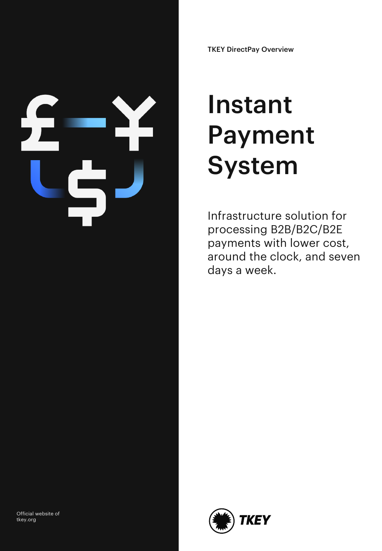TKEY DirectPay Overview

# Instant Payment System

Infrastructure solution for processing B2B/B2C/B2E payments with lower cost, around the clock, and seven days a week.



Official website of tkey.org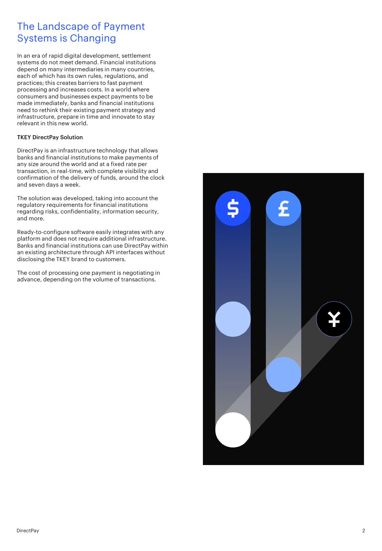## The Landscape of Payment Systems is Changing

In an era of rapid digital development, settlement systems do not meet demand. Financial institutions depend on many intermediaries in many countries, each of which has its own rules, regulations, and practices; this creates barriers to fast payment processing and increases costs. In a world where consumers and businesses expect payments to be made immediately, banks and financial institutions need to rethink their existing payment strategy and infrastructure, prepare in time and innovate to stay relevant in this new world.

#### TKEY DirectPay Solution

DirectPay is an infrastructure technology that allows banks and financial institutions to make payments of any size around the world and at a fixed rate per transaction, in real-time, with complete visibility and confirmation of the delivery of funds, around the clock and seven days a week.

The solution was developed, taking into account the regulatory requirements for financial institutions regarding risks, confidentiality, information security, and more.

Ready-to-configure software easily integrates with any platform and does not require additional infrastructure. Banks and financial institutions can use DirectPay within an existing architecture through API interfaces without disclosing the TKEY brand to customers.

The cost of processing one payment is negotiating in advance, depending on the volume of transactions.

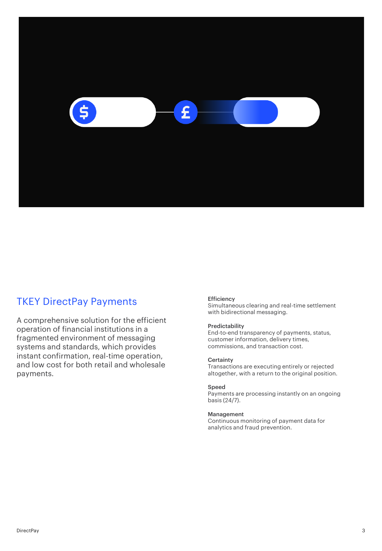

## TKEY DirectPay Payments

A comprehensive solution for the efficient operation of financial institutions in a fragmented environment of messaging systems and standards, which provides instant confirmation, real-time operation, and low cost for both retail and wholesale payments.

#### **Efficiency**

Simultaneous clearing and real-time settlement with bidirectional messaging.

#### Predictability

End-to-end transparency of payments, status, customer information, delivery times, commissions, and transaction cost.

#### **Certainty**

Transactions are executing entirely or rejected altogether, with a return to the original position.

#### Speed

Payments are processing instantly on an ongoing basis (24/7).

#### Management

Continuous monitoring of payment data for analytics and fraud prevention.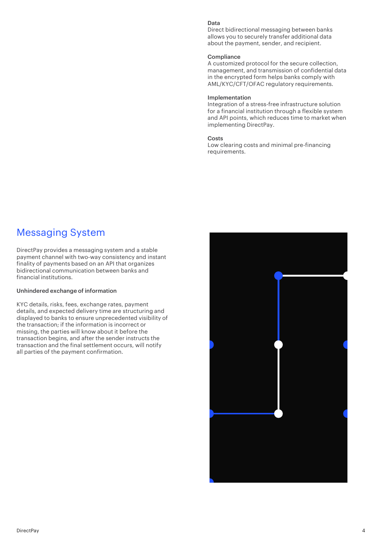#### Data

Direct bidirectional messaging between banks allows you to securely transfer additional data about the payment, sender, and recipient.

#### **Compliance**

A customized protocol for the secure collection, management, and transmission of confidential data in the encrypted form helps banks comply with AML/KYC/CFT/OFAC regulatory requirements.

#### Implementation

Integration of a stress-free infrastructure solution for a financial institution through a flexible system and API points, which reduces time to market when implementing DirectPay.

#### Costs

Low clearing costs and minimal pre-financing requirements.

### Messaging System

DirectPay provides a messaging system and a stable payment channel with two-way consistency and instant finality of payments based on an API that organizes bidirectional communication between banks and financial institutions.

#### Unhindered exchange of information

KYC details, risks, fees, exchange rates, payment details, and expected delivery time are structuring and displayed to banks to ensure unprecedented visibility of the transaction; if the information is incorrect or missing, the parties will know about it before the transaction begins, and after the sender instructs the transaction and the final settlement occurs, will notify all parties of the payment confirmation.

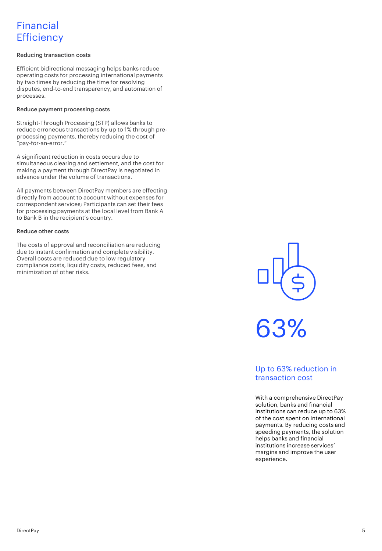## Financial **Efficiency**

#### Reducing transaction costs

Efficient bidirectional messaging helps banks reduce operating costs for processing international payments by two times by reducing the time for resolving disputes, end-to-end transparency, and automation of processes.

#### Reduce payment processing costs

Straight-Through Processing (STP) allows banks to reduce erroneous transactions by up to 1% through preprocessing payments, thereby reducing the cost of "pay-for-an-error."

A significant reduction in costs occurs due to simultaneous clearing and settlement, and the cost for making a payment through DirectPay is negotiated in advance under the volume of transactions.

All payments between DirectPay members are effecting directly from account to account without expenses for correspondent services; Participants can set their fees for processing payments at the local level from Bank A to Bank B in the recipient's country.

#### Reduce other costs

The costs of approval and reconciliation are reducing due to instant confirmation and complete visibility. Overall costs are reduced due to low regulatory compliance costs, liquidity costs, reduced fees, and minimization of other risks.



63%

### Up to 63% reduction in transaction cost

With a comprehensive DirectPay solution, banks and financial institutions can reduce up to 63% of the cost spent on international payments. By reducing costs and speeding payments, the solution helps banks and financial institutions increase services' margins and improve the user experience.